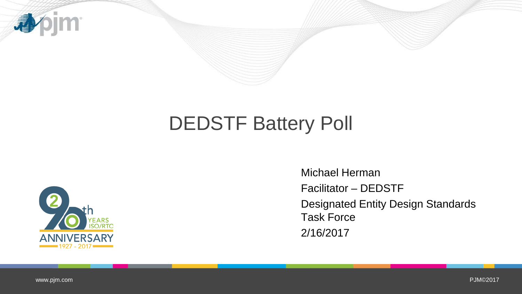

## DEDSTF Battery Poll



Michael Herman Facilitator – DEDSTF Designated Entity Design Standards Task Force 2/16/2017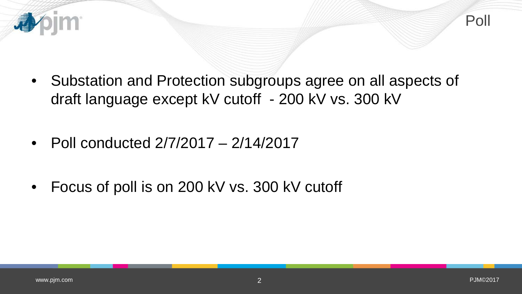

- Substation and Protection subgroups agree on all aspects of draft language except kV cutoff - 200 kV vs. 300 kV
- Poll conducted  $2/7/2017 2/14/2017$
- Focus of poll is on 200 kV vs. 300 kV cutoff

看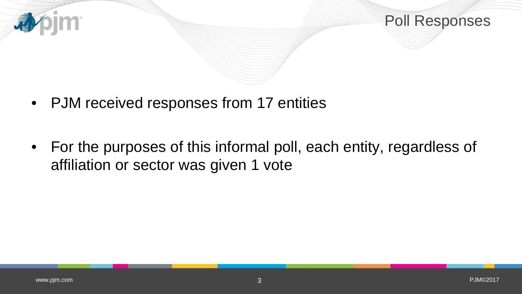

Poll Responses

- PJM received responses from 17 entities
- For the purposes of this informal poll, each entity, regardless of affiliation or sector was given 1 vote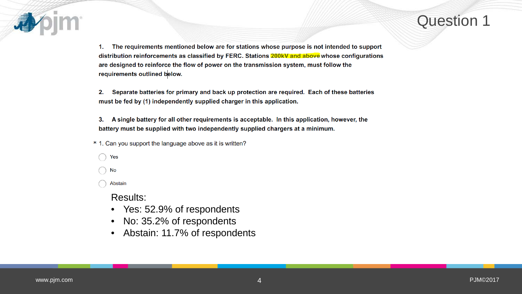

The requirements mentioned below are for stations whose purpose is not intended to support 1. distribution reinforcements as classified by FERC. Stations 200kV and above whose configurations are designed to reinforce the flow of power on the transmission system, must follow the requirements outlined below.

Separate batteries for primary and back up protection are required. Each of these batteries 2. must be fed by (1) independently supplied charger in this application.

A single battery for all other requirements is acceptable. In this application, however, the 3. battery must be supplied with two independently supplied chargers at a minimum.

- \* 1. Can you support the language above as it is written?
	- Yes
	- No

Abstain

Results:

- Yes: 52.9% of respondents
- No: 35.2% of respondents
- Abstain: 11.7% of respondents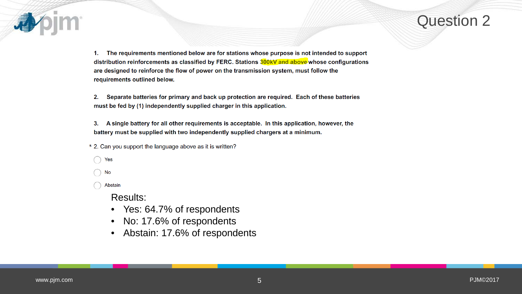

1. The requirements mentioned below are for stations whose purpose is not intended to support distribution reinforcements as classified by FERC. Stations 300kV and above whose configurations are designed to reinforce the flow of power on the transmission system, must follow the requirements outlined below.

Separate batteries for primary and back up protection are required. Each of these batteries 2. must be fed by (1) independently supplied charger in this application.

3. A single battery for all other requirements is acceptable. In this application, however, the battery must be supplied with two independently supplied chargers at a minimum.

\* 2. Can you support the language above as it is written?

Yes

No

Abstain

Results:

- Yes: 64.7% of respondents
- No: 17.6% of respondents
- Abstain: 17.6% of respondents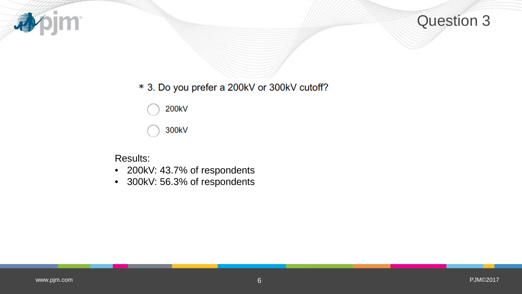



## \* 3. Do you prefer a 200kV or 300kV cutoff?

200kV

300kV

Results:

- 200kV: 43.7% of respondents
- 300kV: 56.3% of respondents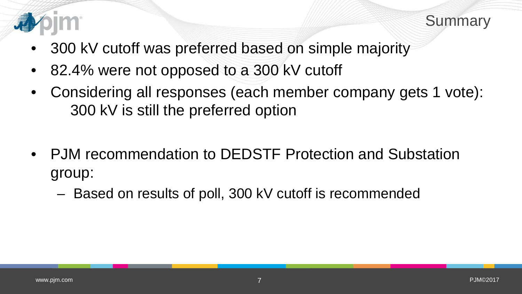



- 300 kV cutoff was preferred based on simple majority
- 82.4% were not opposed to a 300 kV cutoff
- Considering all responses (each member company gets 1 vote): 300 kV is still the preferred option
- PJM recommendation to DEDSTF Protection and Substation group:
	- Based on results of poll, 300 kV cutoff is recommended